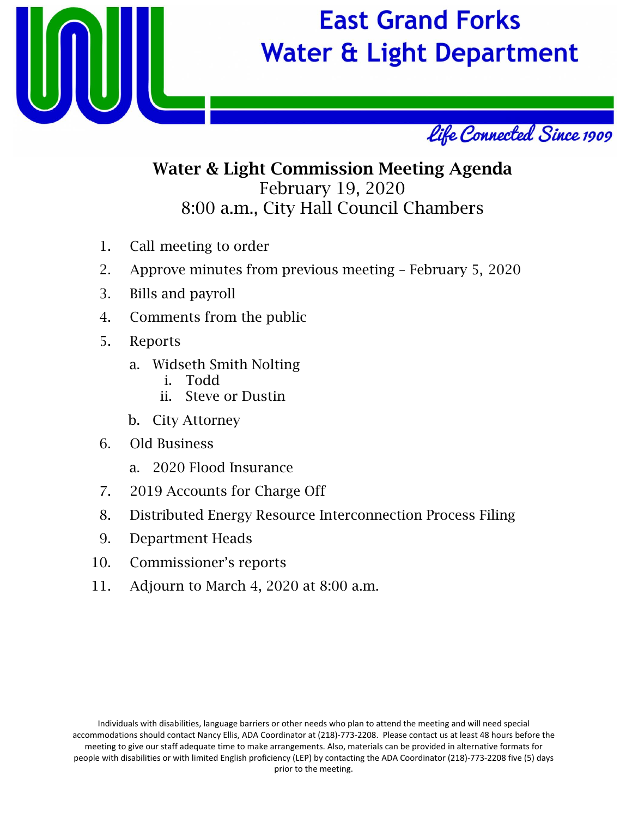

# **East Grand Forks Water & Light Department**



#### Water & Light Commission Meeting Agenda February 19, 2020 8:00 a.m., City Hall Council Chambers

- 1. Call meeting to order
- 2. Approve minutes from previous meeting February 5, 2020
- 3. Bills and payroll
- 4. Comments from the public
- 5. Reports
	- a. Widseth Smith Nolting
		- i. Todd
		- ii. Steve or Dustin
	- b. City Attorney
- 6. Old Business
	- a. 2020 Flood Insurance
- 7. 2019 Accounts for Charge Off
- 8. Distributed Energy Resource Interconnection Process Filing
- 9. Department Heads
- 10. Commissioner's reports
- 11. Adjourn to March 4, 2020 at 8:00 a.m.

Individuals with disabilities, language barriers or other needs who plan to attend the meeting and will need special accommodations should contact Nancy Ellis, ADA Coordinator at (218)‐773‐2208. Please contact us at least 48 hours before the meeting to give our staff adequate time to make arrangements. Also, materials can be provided in alternative formats for people with disabilities or with limited English proficiency (LEP) by contacting the ADA Coordinator (218)‐773‐2208 five (5) days prior to the meeting.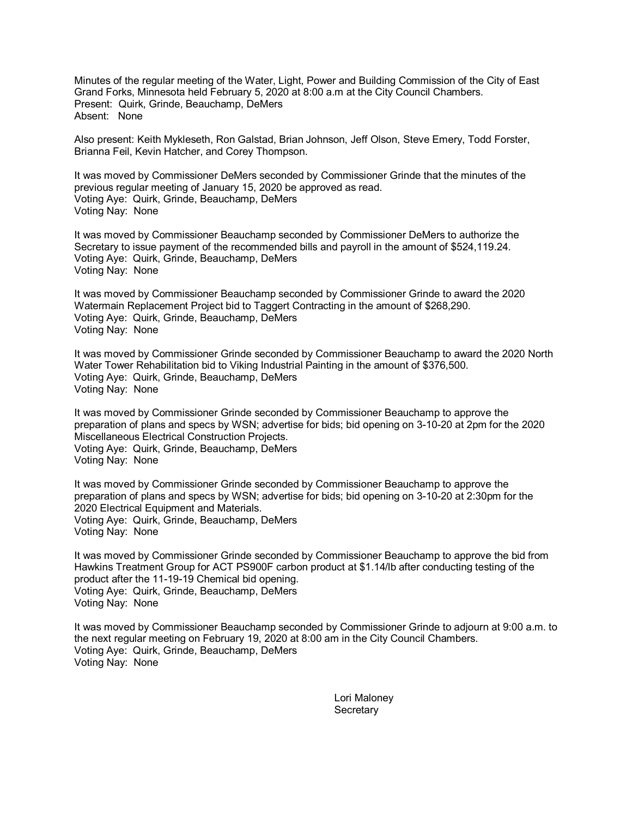Minutes of the regular meeting of the Water, Light, Power and Building Commission of the City of East Grand Forks, Minnesota held February 5, 2020 at 8:00 a.m at the City Council Chambers. Present: Quirk, Grinde, Beauchamp, DeMers Absent: None

Also present: Keith Mykleseth, Ron Galstad, Brian Johnson, Jeff Olson, Steve Emery, Todd Forster, Brianna Feil, Kevin Hatcher, and Corey Thompson.

It was moved by Commissioner DeMers seconded by Commissioner Grinde that the minutes of the previous regular meeting of January 15, 2020 be approved as read. Voting Aye: Quirk, Grinde, Beauchamp, DeMers Voting Nay: None

It was moved by Commissioner Beauchamp seconded by Commissioner DeMers to authorize the Secretary to issue payment of the recommended bills and payroll in the amount of \$524,119.24. Voting Aye: Quirk, Grinde, Beauchamp, DeMers Voting Nay: None

It was moved by Commissioner Beauchamp seconded by Commissioner Grinde to award the 2020 Watermain Replacement Project bid to Taggert Contracting in the amount of \$268,290. Voting Aye: Quirk, Grinde, Beauchamp, DeMers Voting Nay: None

It was moved by Commissioner Grinde seconded by Commissioner Beauchamp to award the 2020 North Water Tower Rehabilitation bid to Viking Industrial Painting in the amount of \$376,500. Voting Aye: Quirk, Grinde, Beauchamp, DeMers Voting Nay: None

It was moved by Commissioner Grinde seconded by Commissioner Beauchamp to approve the preparation of plans and specs by WSN; advertise for bids; bid opening on 3-10-20 at 2pm for the 2020 Miscellaneous Electrical Construction Projects. Voting Aye: Quirk, Grinde, Beauchamp, DeMers Voting Nay: None

It was moved by Commissioner Grinde seconded by Commissioner Beauchamp to approve the preparation of plans and specs by WSN; advertise for bids; bid opening on 3-10-20 at 2:30pm for the 2020 Electrical Equipment and Materials. Voting Aye: Quirk, Grinde, Beauchamp, DeMers Voting Nay: None

It was moved by Commissioner Grinde seconded by Commissioner Beauchamp to approve the bid from Hawkins Treatment Group for ACT PS900F carbon product at \$1.14/lb after conducting testing of the product after the 11-19-19 Chemical bid opening. Voting Aye: Quirk, Grinde, Beauchamp, DeMers Voting Nay: None

It was moved by Commissioner Beauchamp seconded by Commissioner Grinde to adjourn at 9:00 a.m. to the next regular meeting on February 19, 2020 at 8:00 am in the City Council Chambers. Voting Aye: Quirk, Grinde, Beauchamp, DeMers Voting Nay: None

> Lori Maloney **Secretary**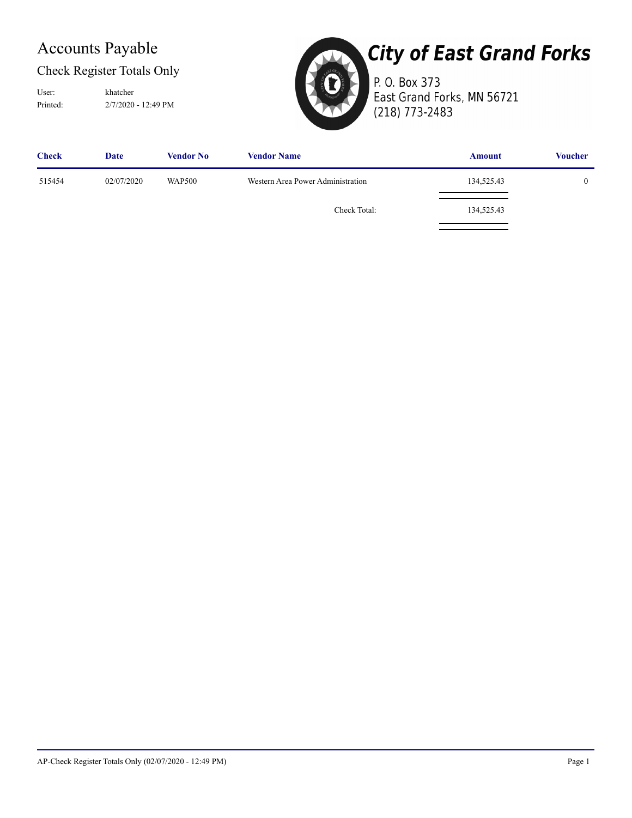#### Check Register Totals Only

User: khatcher

Printed: 2/7/2020 - 12:49 PM



## **City of East Grand Forks**

P. O. Box 373 East Grand Forks, MN 56721 (218) 773-2483

| <b>Check</b> | Date       | <b>Vendor No</b> | <b>Vendor Name</b>                | <b>Amount</b> | <b>Voucher</b> |
|--------------|------------|------------------|-----------------------------------|---------------|----------------|
| 515454       | 02/07/2020 | <b>WAP500</b>    | Western Area Power Administration | 134,525.43    |                |
|              |            |                  | Check Total:                      | 134,525.43    |                |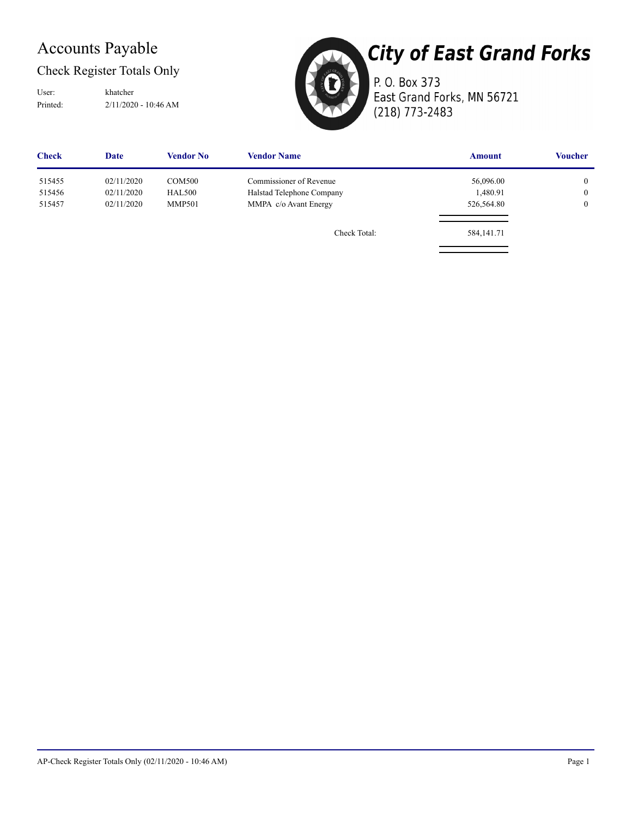#### Check Register Totals Only

Printed: 2/11/2020 - 10:46 AM User: khatcher



## **City of East Grand Forks**

P. O. Box 373 East Grand Forks, MN 56721 (218) 773-2483

| <b>Check</b> | <b>Date</b> | <b>Vendor No</b> | <b>Vendor Name</b>        | <b>Amount</b> | <b>Voucher</b> |
|--------------|-------------|------------------|---------------------------|---------------|----------------|
| 515455       | 02/11/2020  | <b>COM500</b>    | Commissioner of Revenue   | 56,096.00     | $\overline{0}$ |
| 515456       | 02/11/2020  | <b>HAL500</b>    | Halstad Telephone Company | 1,480.91      | $\overline{0}$ |
| 515457       | 02/11/2020  | <b>MMP501</b>    | MMPA c/o Avant Energy     | 526,564.80    | $\bf{0}$       |
|              |             |                  | Check Total:              | 584, 141. 71  |                |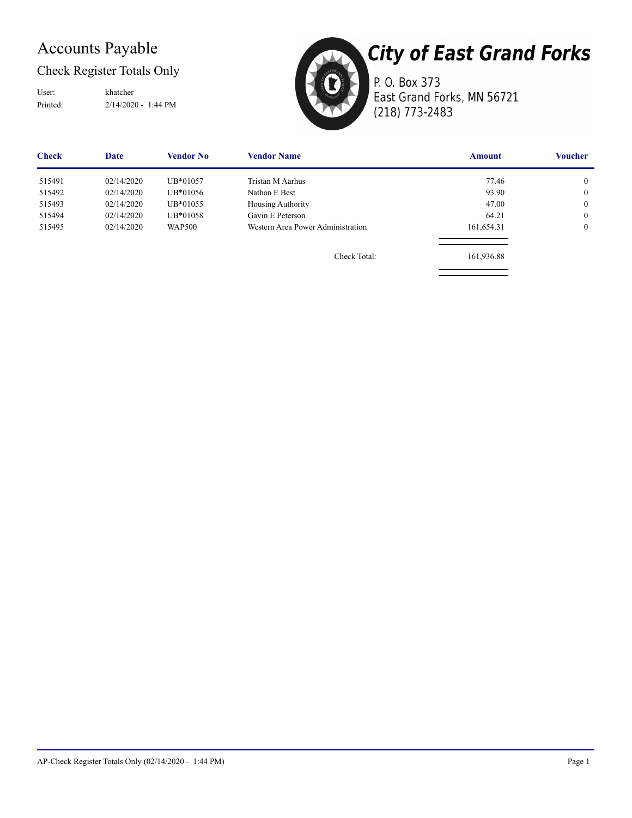#### Check Register Totals Only

User: khatcher

Printed: 2/14/2020 - 1:44 PM



P. O. Box 373 East Grand Forks, MN 56721 (218) 773-2483

| <b>Check</b> | Date       | Vendor No     | <b>Vendor Name</b>                | <b>Amount</b> | Voucher        |
|--------------|------------|---------------|-----------------------------------|---------------|----------------|
| 515491       | 02/14/2020 | UB*01057      | Tristan M Aarhus                  | 77.46         | $\overline{0}$ |
| 515492       | 02/14/2020 | UB*01056      | Nathan E Best                     | 93.90         | $\overline{0}$ |
| 515493       | 02/14/2020 | UB*01055      | Housing Authority                 | 47.00         | $\overline{0}$ |
| 515494       | 02/14/2020 | UB*01058      | Gavin E Peterson                  | 64.21         | $\overline{0}$ |
| 515495       | 02/14/2020 | <b>WAP500</b> | Western Area Power Administration | 161,654.31    | $\overline{0}$ |
|              |            |               | Check Total:                      | 161,936.88    |                |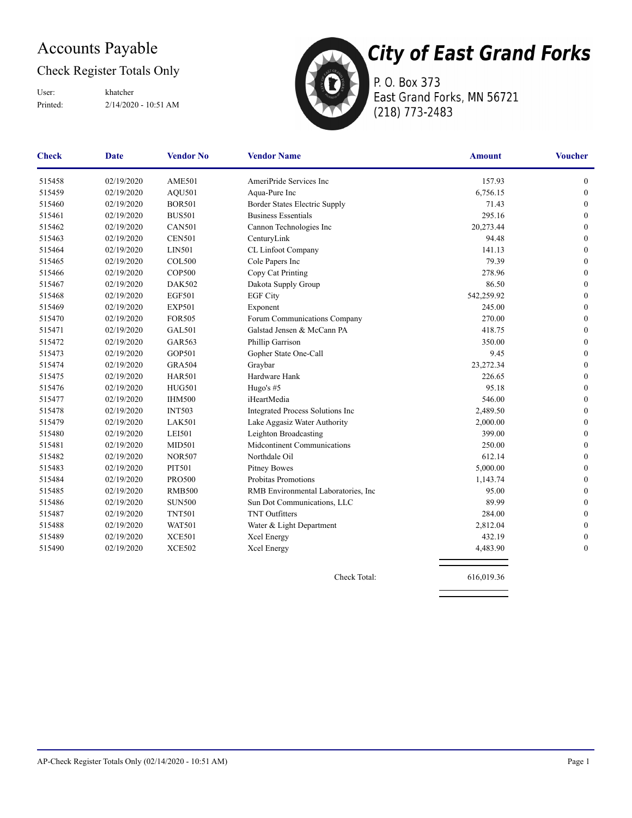#### Check Register Totals Only

Printed: 2/14/2020 - 10:51 AM User: khatcher



P. O. Box 373 East Grand Forks, MN 56721 (218) 773-2483

| <b>Check</b> | Date       | <b>Vendor No</b> | <b>Vendor Name</b>                   | <b>Amount</b> | <b>Voucher</b>   |
|--------------|------------|------------------|--------------------------------------|---------------|------------------|
| 515458       | 02/19/2020 | <b>AME501</b>    | AmeriPride Services Inc              | 157.93        | 0                |
| 515459       | 02/19/2020 | AQU501           | Aqua-Pure Inc                        | 6,756.15      | $\boldsymbol{0}$ |
| 515460       | 02/19/2020 | <b>BOR501</b>    | Border States Electric Supply        | 71.43         | $\mathbf{0}$     |
| 515461       | 02/19/2020 | <b>BUS501</b>    | <b>Business Essentials</b>           | 295.16        | $\mathbf{0}$     |
| 515462       | 02/19/2020 | <b>CAN501</b>    | Cannon Technologies Inc              | 20,273.44     | $\mathbf{0}$     |
| 515463       | 02/19/2020 | <b>CEN501</b>    | CenturyLink                          | 94.48         | $\boldsymbol{0}$ |
| 515464       | 02/19/2020 | LIN501           | CL Linfoot Company                   | 141.13        | $\mathbf{0}$     |
| 515465       | 02/19/2020 | <b>COL500</b>    | Cole Papers Inc                      | 79.39         | $\mathbf{0}$     |
| 515466       | 02/19/2020 | <b>COP500</b>    | Copy Cat Printing                    | 278.96        | $\mathbf{0}$     |
| 515467       | 02/19/2020 | <b>DAK502</b>    | Dakota Supply Group                  | 86.50         | $\theta$         |
| 515468       | 02/19/2020 | <b>EGF501</b>    | <b>EGF City</b>                      | 542,259.92    | $\boldsymbol{0}$ |
| 515469       | 02/19/2020 | <b>EXP501</b>    | Exponent                             | 245.00        | $\boldsymbol{0}$ |
| 515470       | 02/19/2020 | <b>FOR505</b>    | Forum Communications Company         | 270.00        | $\mathbf{0}$     |
| 515471       | 02/19/2020 | <b>GAL501</b>    | Galstad Jensen & McCann PA           | 418.75        | $\boldsymbol{0}$ |
| 515472       | 02/19/2020 | <b>GAR563</b>    | Phillip Garrison                     | 350.00        | $\mathbf{0}$     |
| 515473       | 02/19/2020 | <b>GOP501</b>    | Gopher State One-Call                | 9.45          | $\boldsymbol{0}$ |
| 515474       | 02/19/2020 | <b>GRA504</b>    | Graybar                              | 23,272.34     | $\mathbf{0}$     |
| 515475       | 02/19/2020 | <b>HAR501</b>    | Hardware Hank                        | 226.65        | $\mathbf{0}$     |
| 515476       | 02/19/2020 | <b>HUG501</b>    | Hugo's #5                            | 95.18         | $\mathbf{0}$     |
| 515477       | 02/19/2020 | <b>IHM500</b>    | iHeartMedia                          | 546.00        | $\mathbf{0}$     |
| 515478       | 02/19/2020 | <b>INT503</b>    | Integrated Process Solutions Inc     | 2,489.50      | $\mathbf{0}$     |
| 515479       | 02/19/2020 | <b>LAK501</b>    | Lake Aggasiz Water Authority         | 2,000.00      | $\mathbf{0}$     |
| 515480       | 02/19/2020 | <b>LEI501</b>    | Leighton Broadcasting                | 399.00        | $\mathbf{0}$     |
| 515481       | 02/19/2020 | <b>MID501</b>    | Midcontinent Communications          | 250.00        | $\mathbf{0}$     |
| 515482       | 02/19/2020 | <b>NOR507</b>    | Northdale Oil                        | 612.14        | $\boldsymbol{0}$ |
| 515483       | 02/19/2020 | <b>PIT501</b>    | <b>Pitney Bowes</b>                  | 5,000.00      | $\boldsymbol{0}$ |
| 515484       | 02/19/2020 | <b>PRO500</b>    | Probitas Promotions                  | 1,143.74      | $\boldsymbol{0}$ |
| 515485       | 02/19/2020 | <b>RMB500</b>    | RMB Environmental Laboratories, Inc. | 95.00         | $\mathbf{0}$     |
| 515486       | 02/19/2020 | <b>SUN500</b>    | Sun Dot Communications, LLC          | 89.99         | $\mathbf{0}$     |
| 515487       | 02/19/2020 | <b>TNT501</b>    | <b>TNT</b> Outfitters                | 284.00        | $\theta$         |
| 515488       | 02/19/2020 | <b>WAT501</b>    | Water & Light Department             | 2,812.04      | $\boldsymbol{0}$ |
| 515489       | 02/19/2020 | XCE501           | Xcel Energy                          | 432.19        | $\mathbf{0}$     |
| 515490       | 02/19/2020 | <b>XCE502</b>    | Xcel Energy                          | 4,483.90      | $\mathbf{0}$     |
|              |            |                  |                                      |               |                  |

Check Total: 616,019.36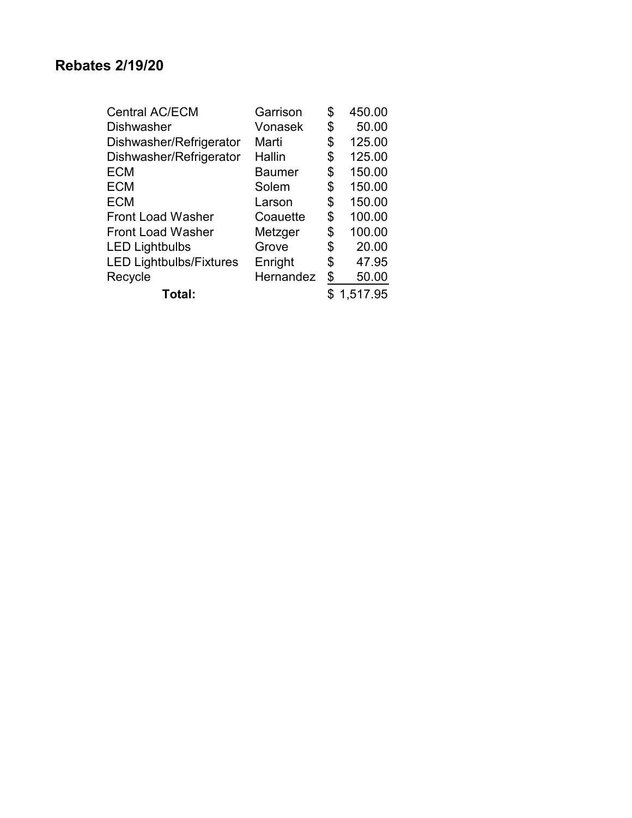| <b>Central AC/ECM</b>          | Garrison      | \$<br>450.00 |
|--------------------------------|---------------|--------------|
| <b>Dishwasher</b>              | Vonasek       | \$<br>50.00  |
| Dishwasher/Refrigerator        | Marti         | \$<br>125.00 |
| Dishwasher/Refrigerator        | Hallin        | \$<br>125.00 |
| <b>ECM</b>                     | <b>Baumer</b> | \$<br>150.00 |
| <b>ECM</b>                     | Solem         | \$<br>150.00 |
| <b>ECM</b>                     | Larson        | \$<br>150.00 |
| <b>Front Load Washer</b>       | Coauette      | \$<br>100.00 |
| <b>Front Load Washer</b>       | Metzger       | \$<br>100.00 |
| <b>LED Lightbulbs</b>          | Grove         | \$<br>20.00  |
| <b>LED Lightbulbs/Fixtures</b> | Enright       | \$<br>47.95  |
| Recycle                        | Hernandez     | \$<br>50.00  |
| Total:                         |               | 1,517.95     |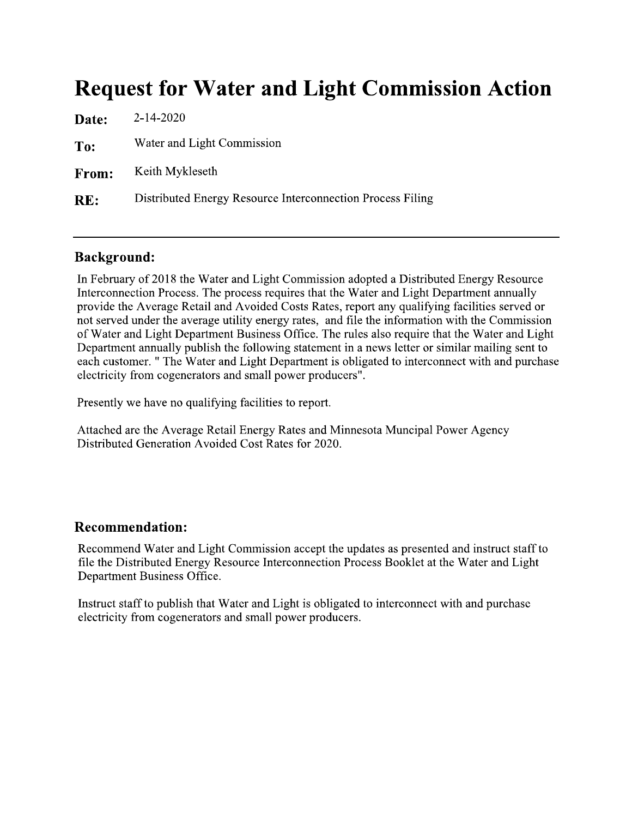## **Request for Water and Light Commission Action**

| <b>Date:</b> | 2-14-2020                                                  |
|--------------|------------------------------------------------------------|
| To:          | Water and Light Commission                                 |
| From:        | Keith Mykleseth                                            |
| RE:          | Distributed Energy Resource Interconnection Process Filing |
|              |                                                            |

#### **Background:**

In February of 2018 the Water and Light Commission adopted a Distributed Energy Resource Interconnection Process. The process requires that the Water and Light Department annually provide the Average Retail and Avoided Costs Rates, report any qualifying facilities served or not served under the average utility energy rates, and file the information with the Commission of Water and Light Department Business Office. The rules also require that the Water and Light Department annually publish the following statement in a news letter or similar mailing sent to each customer. " The Water and Light Department is obligated to interconnect with and purchase electricity from cogenerators and small power producers".

Presently we have no qualifying facilities to report.

Attached are the Average Retail Energy Rates and Minnesota Muncipal Power Agency Distributed Generation Avoided Cost Rates for 2020.

#### **Recommendation:**

Recommend Water and Light Commission accept the updates as presented and instruct staff to file the Distributed Energy Resource Interconnection Process Booklet at the Water and Light Department Business Office.

Instruct staff to publish that Water and Light is obligated to interconnect with and purchase electricity from cogenerators and small power producers.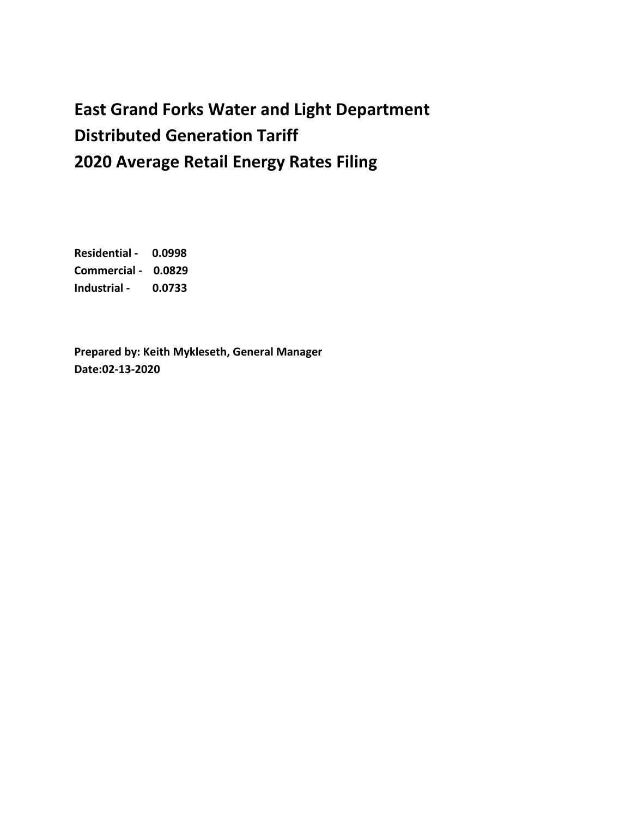### **East Grand Forks Water and Light Department Distributed Generation Tariff 2020 Average Retail Energy Rates Filing**

**Residential - 0.0998 Commercial - 0.0829 Industrial - 0.0733**

**Prepared by: Keith Mykleseth, General Manager Date:02-13-2020**